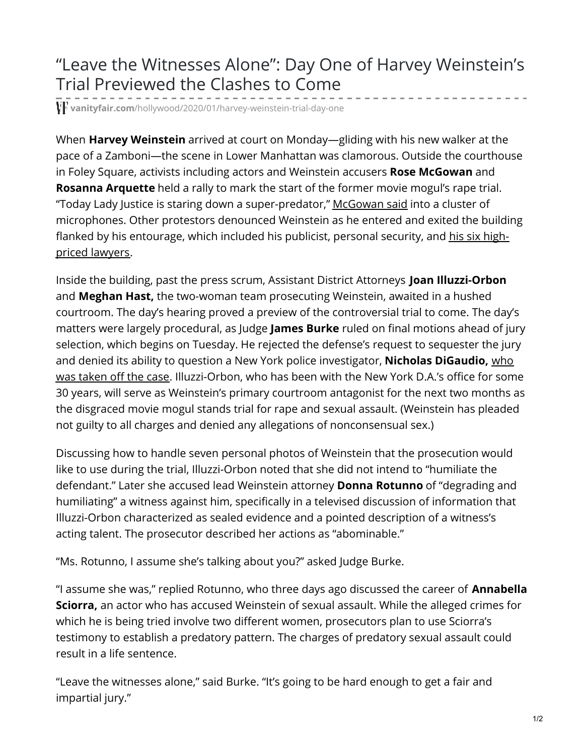## "Leave the Witnesses Alone": Day One of Harvey Weinstein's Trial Previewed the Clashes to Come

**vanityfair.com**[/hollywood/2020/01/harvey-weinstein-trial-day-one](https://www.vanityfair.com/hollywood/2020/01/harvey-weinstein-trial-day-one)

When **Harvey Weinstein** arrived at court on Monday—gliding with his new walker at the pace of a Zamboni—the scene in Lower Manhattan was clamorous. Outside the courthouse in Foley Square, activists including actors and Weinstein accusers **Rose McGowan** and **Rosanna Arquette** held a rally to mark the start of the former movie mogul's rape trial. "Today Lady Justice is staring down a super-predator," [McGowan](https://variety.com/2020/film/news/harvey-weinstein-rape-trial-rosanna-arquette-rose-mcgowan-1203456911/) said into a cluster of microphones. Other protestors denounced Weinstein as he entered and exited the building flanked by his [entourage,](https://www.vanityfair.com/hollywood/2020/01/harvey-weinstein-rape-trial-lawyers) which included his publicist, personal security, and his six highpriced lawyers.

Inside the building, past the press scrum, Assistant District Attorneys **Joan Illuzzi-Orbon** and **Meghan Hast,** the two-woman team prosecuting Weinstein, awaited in a hushed courtroom. The day's hearing proved a preview of the controversial trial to come. The day's matters were largely procedural, as Judge **James Burke** ruled on final motions ahead of jury selection, which begins on Tuesday. He rejected the defense's request to sequester the jury and denied its ability to question a New York police investigator, **Nicholas DiGaudio,** who was taken off the case. [Illuzzi-Orbon,](https://www.vanityfair.com/hollywood/2018/10/harvey-weinstein-criminal-case-trouble-legal-experts) who has been with the New York D.A.'s office for some 30 years, will serve as Weinstein's primary courtroom antagonist for the next two months as the disgraced movie mogul stands trial for rape and sexual assault. (Weinstein has pleaded not guilty to all charges and denied any allegations of nonconsensual sex.)

Discussing how to handle seven personal photos of Weinstein that the prosecution would like to use during the trial, Illuzzi-Orbon noted that she did not intend to "humiliate the defendant." Later she accused lead Weinstein attorney **Donna Rotunno** of "degrading and humiliating" a witness against him, specifically in a televised discussion of information that Illuzzi-Orbon characterized as sealed evidence and a pointed description of a witness's acting talent. The prosecutor described her actions as "abominable."

"Ms. Rotunno, I assume she's talking about you?" asked Judge Burke.

"I assume she was," replied Rotunno, who three days ago discussed the career of **Annabella Sciorra,** an actor who has accused Weinstein of sexual assault. While the alleged crimes for which he is being tried involve two different women, prosecutors plan to use Sciorra's testimony to establish a predatory pattern. The charges of predatory sexual assault could result in a life sentence.

"Leave the witnesses alone," said Burke. "It's going to be hard enough to get a fair and impartial jury."